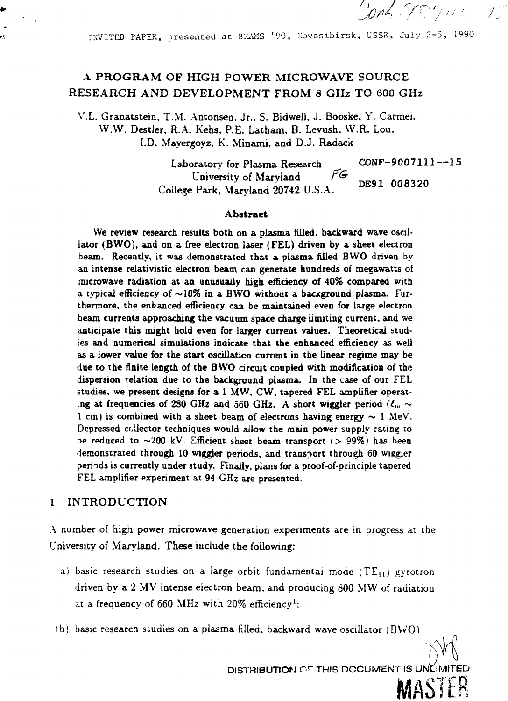INVITED PAPER, presented at BFAMS '90, Novosibirsk, USSR, July 2-5, 1990

Jonk W. William

 $\bigwedge^{n-1}$ 

# A PROGRAM OF HIGH POWER MICROWAVE SOURCE RESEARCH AND DEVELOPMENT FROM 8 GHz TO 600 GHz

V.L. Granatstein. T.M. Antonsen. Jr.. S. Bidwell, J. Booske. Y. Carmei. WAV. Destler. R.A. Kehs. P.E. Latham, B. Levush. W.R. Lou. I.D. Mayergoyz, K. Minami, and D.J. Radack

> Laboratory for Plasma Research CONF-9007111--15 University of Maryland FG College Park, Maryland 20742 U.S.A. DE91 008320

#### Abstract

We review research results both on a plasma filled, backward wave oscillator (BWO), and on a free electron laser (FEL) driven by a sheet electron beam. Recently, it was demonstrated that a plasma filled BWO driven by an intense relativistic electron beam can generate hundreds of megawatts of microwave radiation at an unusually high efficiency of 40% compared with a typical efficiency *of* ~10% in a BWO without a background plasma. Furthermore, the enhanced efficiency can be maintained even for large electron beam currents approaching the vacuum space charge limiting current, and we anticipate this might hold even for larger current values. Theoretical studies and numerical simulations indicate that the enhanced efficiency as well as a lower value for the start oscillation current in the linear regime may be due to the finite length of the BWO circuit coupled with modification of the dispersion relation due to the background plasma. In the case of our FEL studies, we present designs for a 1 MW, CW, tapered FEL amplifier operating at frequencies of 280 GHz and 560 GHz. A short wiggler period  $(\ell_w \sim$ 1 cm) is combined with a sheet beam of electrons having energy  $\sim$  1 MeV. Depressed collector techniques would allow the main power supply rating to be reduced to  $\sim 200$  kV. Efficient sheet beam transport ( $> 99\%$ ) has been demonstrated through 10 wiggler periods, and transport through 60 wiggler periods is currently under study. Finally, plans for a proof-of-principle tapered FEL amplifier experiment at 94 GHz are presented.

### 1 INTRODUCTION

A number of higii power microwave generation experiments are in progress at the University of Maryland. These include the following:

- a) basic research studies on a large orbit fundamental mode (TE<sub>11</sub>) gyrotron driven by a 2 MV intense electron beam, and producing S00 MW of radiation at a frequency of 660 MHz with  $20\%$  efficiency<sup>1</sup>;
- (b) basic research studies on a plasma filled, backward wave oscillator  $(BWO)$

DISTRIBUTION OF THIS DOCUMENT IS UNLIMITED

**A**

MASTER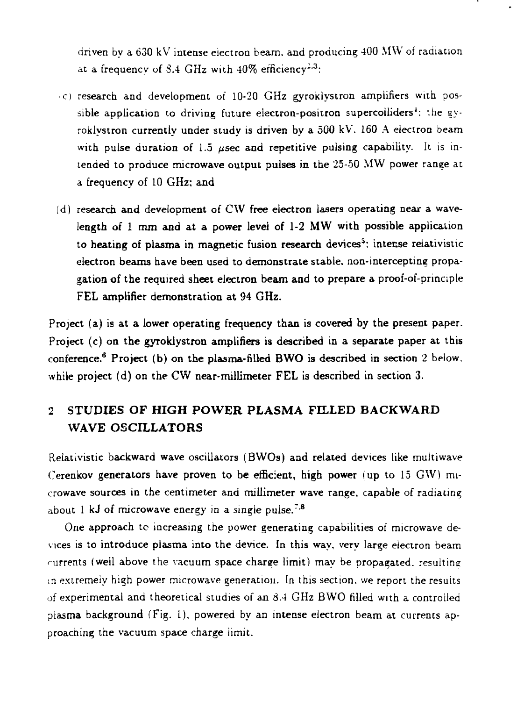driven by a 630 kV intense electron beam, and producing 400 MW of radiation at a frequency of  $8.4\,$  GHz with  $40\%$  efficiency<sup>2.3</sup>:

- •c) research and development of 10-20 GHz gyroklystron amplifiers with possible application to driving future electron-positron supercolliders<sup>4</sup>: the gyroklystron currently under study is driven by a 500 kV. 160 A electron beam with pulse duration of 1.5  $\mu$ sec and repetitive pulsing capability. It is intended to produce microwave output pulses in the 25-50 MW power range at a frequency of 10 GHz; and
- (d) research and development of CW free electron lasers operating near a wavelength of 1 mm and at a power level of 1-2 MW with possible application to heating of plasma in magnetic fusion research devices<sup>5</sup>; intense relativistic electron beams have been used to demonstrate stable, non-intercepting propagation of the required sheet electron beam and to prepare a proof-of-pnnciple FEL amplifier demonstration at 94 GHz.

Project (a) is at a lower operating frequency than is covered by the present paper. Project (c) on the gyroklystron amplifiers is described in a separate paper at this conference.<sup>6</sup> Project (b) on the plasma-filled BWO is described in section 2 below, while project (d) on the CW near-millimeter FEL is described in section 3.

# 2 **STUDIES OF HIGH POWER PLASMA FILLED BACKWARD** WAVE OSCILLATORS

Relativistic backward wave oscillators (BWOs) and related devices like multiwave Cerenkov generators have proven to be efficient, high power (up to 15 GW) microwave sources in the centimeter and millimeter wave range, capable of radiating about 1 kJ of microwave energy in a single pulse.<sup>7.8</sup>

One approach tc increasing the power generating capabilities of microwave devices is to introduce plasma into the device. In this way, very large electron beam rurrents (well above the vacuum space charge limit) may be propagated, resulting in extremely high power microwave generation. In this section, we report the results of experimental and theoretical studies of an 8.4 GHz BWO filled with a controlled plasma background (Fig. 1), powered by an intense electron beam at currents approaching the vacuum space charge iimit.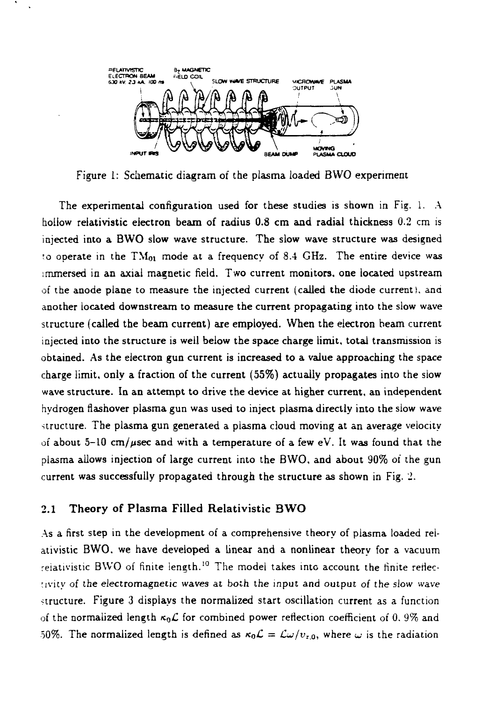

Figure 1: Schematic diagram of the plasma loaded BWO experiment

The experimental configuration used for these studies is shown in Fig. 1. A hollow reiativistic electron beam of radius 0.8 cm and radial thickness 0.2 cm is injected into a BWO slow wave structure. The slow wave structure was designed to operate in the  $TM_{01}$  mode at a frequency of 8.4 GHz. The entire device was immersed in an axial magnetic field. Two current monitors, one located upstream of the anode plane to measure the injected current (called the diode current), and another located downstream to measure the current propagating into the slow wave structure (called the beam current) are employed. When the electron beam current injected into the structure is well below the space charge limit, total transmission is obtained. As the electron gun current is increased to a value approaching the space charge limit, only a fraction of the current (55%) actually propagates into the slow wave structure. In an attempt to drive the device at higher current, an independent hydrogen flashover plasma gun was used to inject plasma directly into the slow wave structure. The plasma gun generated a plasma cloud moving at an average velocity of about 5-10 cm/ $\mu$ sec and with a temperature of a few eV. It was found that the plasma allows injection of large current into the BWO, and about 90% of the gun current was successfully propagated through the structure as shown in Fig. 2.

### 2.1 **Theory of Plasma Filled Reiativistic BWO**

As a first step in the development of a comprehensive theory of plasma loaded reiativistic BWO. we have developed a linear and a nonlinear theory for a vacuum relativistic BWO of finite length.<sup>10</sup> The model takes into account the finite reflectivity of the electromagnetic waves at both the input and output of the slow wave structure. Figure 3 displays the normalized start oscillation current as a function of the normalized length  $\kappa_0 \mathcal{L}$  for combined power reflection coefficient of 0.9% and 50%. The normalized length is defined as  $\kappa_0 \mathcal{L} = \mathcal{L}\omega/v_{z,0}$ , where  $\omega$  is the radiation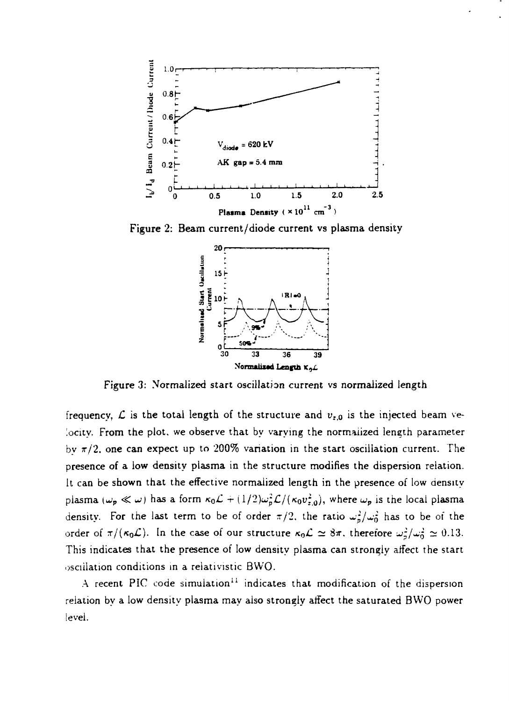

Figure 2: Beam current/diode current vs plasma density



Figure 3: Normalized start oscillation current vs normalized length

frequency,  $\boldsymbol{\mathcal{L}}$  is the total length of the structure and  $v_{\texttt{r},\texttt{0}}$  is the injected beam velocity. From the plot, we observe that by varying the normalized length parameter by  $\pi/2$ , one can expect up to 200% variation in the start oscillation current. The presence of a low density plasma in the structure modifies the dispersion relation. It can be shown that the effective normalized length in the presence of low density plasma ( $\omega_p \ll \omega$ ) has a form  $\kappa_0 \mathcal{L} + (1/2)\omega_p^2 \mathcal{L}/(\kappa_0 v_{z,0}^2)$ , where  $\omega_p$  is the local plasma density. For the last term to be of order  $\pi/2$ , the ratio  $\omega_p^2 / \omega_0^2$  has to be of the order of  $\pi/(\kappa_0 \mathcal{L})$ . In the case of our structure  $\kappa_0 \mathcal{L} \simeq 8\pi$ , therefore  $\omega_0^2/\omega_0^2 \simeq 0.13$ . This indicates that the presence of low density plasma can strongly atfect the start osculation conditions in a reiativistic BWO.

A recent PIC code simulation<sup>11</sup> indicates that modification of the dispersion relation by a low density plasma may also strongly affect the saturated BWO power level.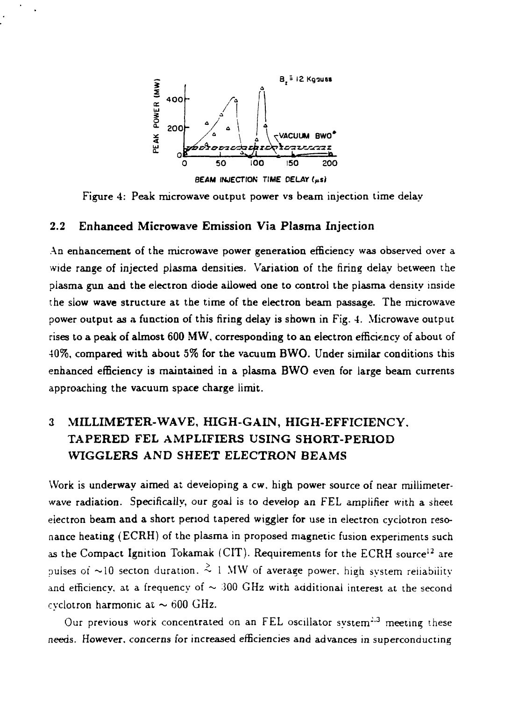

Figure 4: Peak microwave output power vs beam injection time delay

#### 2.2 **Enhanced Microwave Emission Via Plasma** Injection

An enhancement of the microwave power generation efficiency was observed over a wide range of injected plasma densities. Variation of the firing delay between the plasma gun and the electron diode allowed one to control the plasma density inside the slow **wave** structure at the time of the electron beam passage. The microwave power output as a function of this firing delay is shown in Fig. 4. Microwave output rises to a peak of almost 600 **MW,** corresponding to an electron efficiency of about of 40%, compared with about 5% for the vacuum BWO. Under similar conditions this enhanced efficiency is maintained in a plasma **BWO** even for large beam currents approaching the vacuum space charge limit.

# 3 **MILLIMETER-WAVE, HIGH-GAIN, HIGH-EFFICIENCY, TAPERED FEL AMPLIFIERS USING SHORT-PERIOD WTGGLERS AND SHEET ELECTRON BEAMS**

Work is underway aimed at developing a cw. high power source of near millimeterwave radiation. Specifically, our goal is to develop an FEL amplifier with a sheet electron beam and a short period tapered wiggler for use in electron cyclotron resonance heating (ECRH) of the plasma in proposed magnetic fusion experiments such as the Compact Ignition Tokamak (CIT). Requirements for the ECRH source<sup>12</sup> are pulses of  $\sim$ 10 secton duration.  $\stackrel{>}{\sim}$  1 MW of average power, high system reliability and efficiency, at a frequency of  $\sim 300$  GHz with additional interest at the second evelotron harmonic at  $\sim$  600 GHz.

Our previous work concentrated on an FEL oscillator system<sup>2,3</sup> meeting these needs. However, concerns for increased efficiencies and advances in superconducting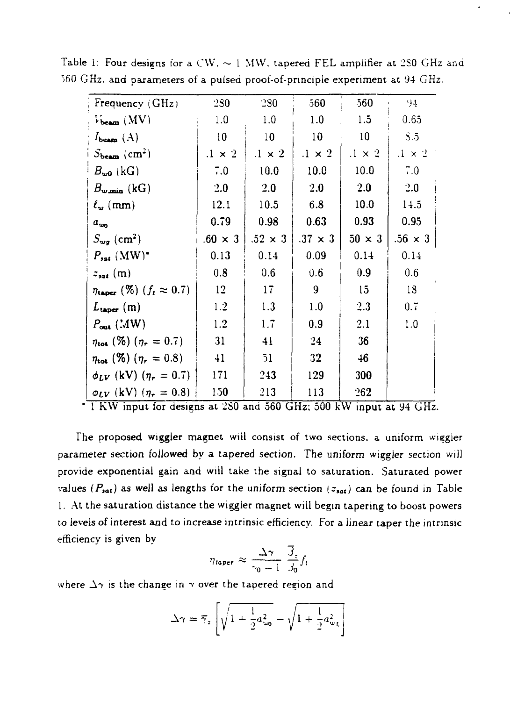| Frequency (GHz)                                | 280<br>$\mathbb{C}^{\times}$ | 280            | 560             | 560             | 94                      |
|------------------------------------------------|------------------------------|----------------|-----------------|-----------------|-------------------------|
| $V_{\text{beam}}$ (MV)                         | 1.0                          | 1.0            | 1.0             | 1.5             | 0.65                    |
| $I_{\mathbf{beam}}\left( \mathbf{A}\right)$    | 10                           | 10             | 10 <sup>°</sup> | 10              | $\mathbf{S}.\mathbf{5}$ |
| $S_{\text{beam}} (\text{cm}^2)$                | $.1 \times 2$                | $.1 \times 2$  | $.1 \times 2$   | $.1 \times 2$   | $.1 \times 2$           |
| $B_{\omega 0}$ (kG)                            | 7.0                          | 10.0           | 10.0            | 10.0            | 7.0                     |
| $B_{\mathbf{w},\mathbf{min}}$ (kG)             | 2.0                          | 2.0            | 2.0             | 2.0             | 2.0                     |
| $\ell_w$ (mm)                                  | 12.1                         | 10.5           | 6.8             | 10.0            | 14.5                    |
| $a_{w_0}$                                      | 0.79                         | 0.98           | 0.63            | 0.93            | 0.95                    |
| $S_{wq}$ (cm <sup>2</sup> )                    | $.60 \times 3$               | $.52 \times 3$ | $.37 \times 3$  | $50 \times 3$   | $.56 \times 3$          |
| $P_{sat}$ (MW) <sup><math>\bullet</math></sup> | 0.13                         | 0.14           | 0.09            | 0.14            | 0.14                    |
| $z_{\text{sat}}$ (m)                           | 0.8                          | 0.6            | 0.6             | 0.9             | 0.6                     |
| $\eta_{\tt{taper}}$ (%) $(f_t \approx 0.7)$    | 12                           | 17             | 9               | 15 <sup>5</sup> | 18                      |
| $L_{\text{user}}\left(\text{m}\right)$         | 1.2                          | 1.3            | 1.0             | 2.3             | 0.7                     |
| $P_{\text{out}}$ (MW)                          | 1.2                          | 1.7            | 0.9             | 2.1             | 1.0                     |
| $\eta_{\text{tot}}$ (%) ( $\eta_r = 0.7$ )     | 31                           | 41             | 24              | 36              |                         |
| $\eta_{\text{tot}}$ (%) $(\eta_r = 0.8)$       | 41                           | 51             | 32              | 46              |                         |
| $\phi_{LV}$ (kV) $(\eta_r = 0.7)$              | 171                          | 243            | 129             | 300             |                         |
| $\varphi_{LV}$ (kV) ( $\eta_r = 0.8$ )         | 150                          | 213            | 113             | 262             |                         |

Table 1: Four designs for a CW,  $\sim$  1 MW, tapered FEL amplifier at 280 GHz and 560 GHz. and parameters of a pulsed proof-of-pnncipie experiment at 94 GHz.

1 KW input for designs at 2S0 and 560 GHz; 500 kW input at 94 GHz.

The proposed wiggier magnet will consist of two sections, a uniform wiggler parameter section foliowed by a tapered section. The uniform wiggier section will provide exponential gain and will take the signal to saturation. Saturated power values ( $P_{sat}$ ) as well as lengths for the uniform section ( $z_{sat}$ ) can be found in Table I. At the saturation distance the wiggier magnet will begin tapering to boost powers to levels of interest and to increase intrinsic efficiency. For a linear taper the intrinsic efficiency is given by

$$
\eta_{\text{taper}} \approx \frac{\Delta \gamma}{\gamma_0 - 1} \frac{\overline{\beta}_z}{\beta_0} f_t
$$

where  $\Delta\gamma$  is the change in  $\gamma$  over the tapered region and

$$
\Delta \gamma = \overline{\gamma}_z \left[ \sqrt{1 + \frac{1}{2} a_{\omega_0}^2} - \sqrt{1 + \frac{1}{2} a_{\omega_L}^2} \right]
$$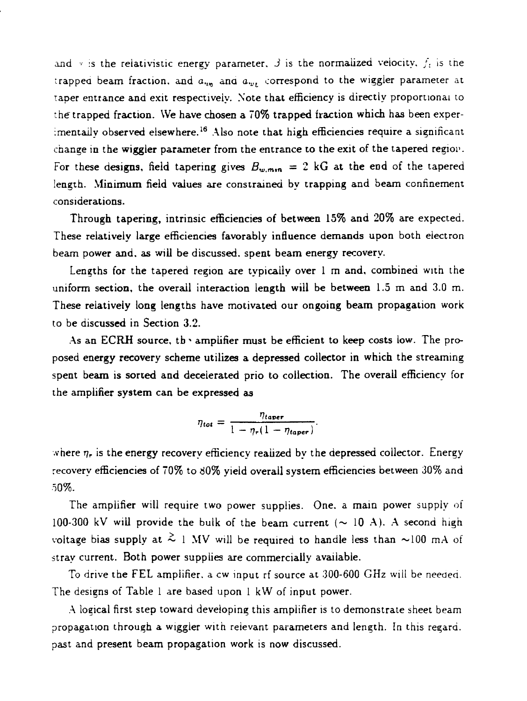and  $\vee$  is the relativistic energy parameter. *3* is the normalized velocity,  $f_i$  is the trapped beam fraction, and  $a_{\nu n}$  and  $a_{\nu L}$  correspond to the wiggler parameter at taper entrance and exit respectively. Note that efficiency is directly proportional to the trapped fraction. We have chosen a 70% trapped fraction which has been experimentally ob<mark>served</mark> elsewhere.<sup>16</sup> Also note that high efficiencies require a significant change in the wiggler parameter from the entrance to the exit of the tapered region. For these designs, field tapering gives  $B_{w, min} = 2$  kG at the end of the tapered length. Minimum field values are constrained by trapping and beam confinement considerations.

Through tapering, intrinsic efficiencies of between 15% and 20% are expected. These relatively large efficiencies favorably influence demands upon both electron beam power and, as will be discussed, spent beam energy recovery.

Lengths for the tapered region are typically over 1 m and, combined with the uniform section, the overall interaction length will be between 1.5 m and 3.0 m. These relatively long lengths have motivated our ongoing beam propagation work to be discussed in Section 3.2.

As an ECRH source, the amplifier must be efficient to keep costs low. The proposed energy recovery scheme utilizes a depressed collector in which the streaming spent beam is sorted and decelerated prio to collection. The overall efficiency for the amplifier system can be expressed as

$$
\eta_{tot} = \frac{\eta_{taper}}{1 - \eta_{\tau}(1 - \eta_{taper})}.
$$

where  $\eta_\tau$  is the energy recovery efficiency realized by the depressed collector. Energy recovery efficiencies of 70% to 80% yield overall system efficiencies between 30% and 50%.

The amplifier will require two power supplies. One. a main power supply of 100-300 kV will provide the bulk of the beam current ( $\sim$  10 A). A second high voltage bias supply at  $\frac{2}{3}$  1 MV will be required to handle less than  $\sim$ 100 mA of stray current. Both power supplies are commercially available.

To drive the FEL amplifier, a cw input rf source at 300-600 GHz will be needed. The designs of Table 1 are based upon 1 kW of input power.

A logical first step toward developing this amplifier is to demonstrate sheet beam propagation through a wiggler with relevant parameters and length. In this regard, past and present beam propagation work is now discussed.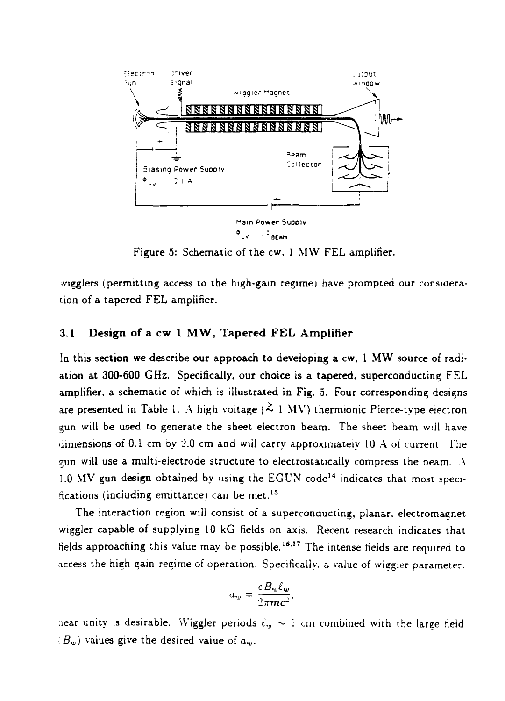

Figure 5: Schematic of the cw. 1 MW FEL amplifier.

•vigglers (permitting access to the high-gain regime) have prompted our consideration of a tapered FEL amplifier.

## 3.1 **Design of a cw 1 MW, Tapered FEL Amplifier**

In this section we describe our approach to developing a cw, 1 MW source of radiation at 300-600 GHz. Specifically, our choice is a tapered, superconducting FEL amplifier, a schematic of which is illustrated in Fig. 5. Four corresponding designs are presented in Table 1. A high voltage ( $\approx$  1 MV) thermionic Pierce-type electron gun will be used to generate the sheet electron beam. The sheet beam will have dimensions of 0.1 cm by 2.0 cm and wiil carry approximately 10 A of current. The gun will use a multi-electrode structure to electrostatically compress the beam. A 1.0 MV gun design obtained by using the EGUN code<sup>14</sup> indicates that most specifications (including emittance) can be met.<sup>15</sup>

The interaction region will consist of a superconducting, planar, electromagnet wiggler capable of supplying 10 kG fields on axis. Recent research indicates that helds approaching this value may be possible.<sup>16.17</sup> The intense fields are required to access the high gain regime of operation. Specifically, a value of wiegier parameter.

$$
a_w = \frac{e B_w \ell_w}{2 \pi m c^2},
$$

near unity is desirable. Wiggler periods  $\ell_w \sim 1$  cm combined with the large field  $(B<sub>w</sub>)$  values give the desired value of  $a<sub>w</sub>$ .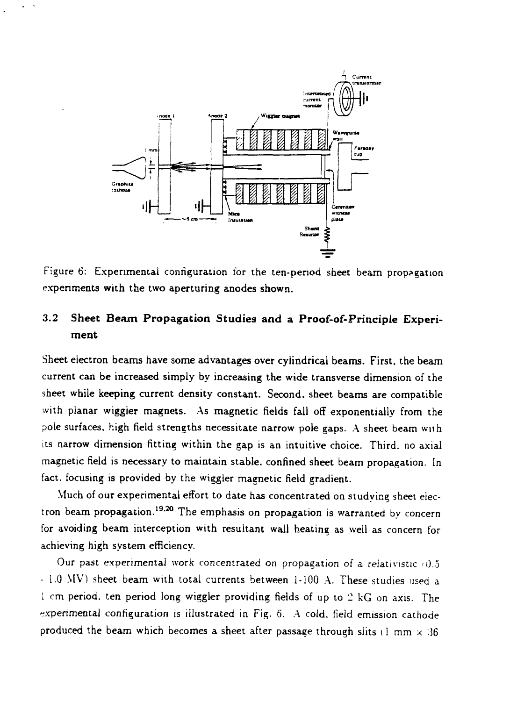

Figure 6: Experimental configuration for the ten-period sheet beam propagation experiments with the two aperturing anodes shown.

## 3.2 **Sheet Beam Propagation Studies and a Proof-of-Principle Experiment**

Sheet electron beams have some advantages over cylindrical beams. First, the beam current can be increased simply by increasing the wide transverse dimension of the sheet while keeping current density constant. Second, sheet beams are compatible with planar wiggier magnets. As magnetic fields fall off exponentially from the pole surfaces, high field strengths necessitate narrow pole gaps. A sheet beam with its narrow dimension fitting within the gap is an intuitive choice. Third, no axial magnetic field is necessary to maintain stable, confined sheet beam propagation. In fact, focusing is provided by the wiggier magnetic field gradient.

Much of our experimental effort to date has concentrated on studying sheet electron beam propagation.<sup>19,20</sup> The emphasis on propagation is warranted by concern for avoiding beam interception with resultant wall heating as well as concern for achieving high system efficiency.

Our past experimental work concentrated on propagation of a relativistic  $(0.5)$ - 1.0 MV) sheet beam with total currents between 1-100 A. These studies used a 1 cm period, ten period long wiggler providing fields of up to 2 kG on axis. The experimental configuration is illustrated in Fig. 6. A cold, field emission cathode produced the beam which becomes a sheet after passage through slits (1 mm  $\times$  36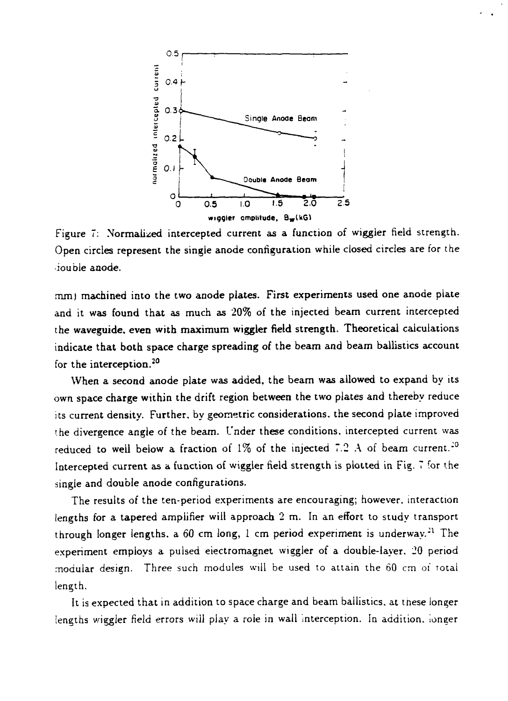

Figure 7: Normalized intercepted current as a function of wiggier field strength. Open circles represent the single anode configuration while closed circles are for the ioubie anode.

mm) machined into the two anode plates. First experiments used one anode plate and it was found that as much as 20% of the injected beam current intercepted the waveguide, even with maximum wiggier field strength. Theoretical calculations indicate that both space charge spreading of the beam and beam ballistics account for the interception.<sup>20</sup>

When a second anode plate was added, the beam was allowed to expand by its own space charge within the drift region between the two plates and thereby reduce its current density. Further, by geometric considerations, the second plate improved the divergence angle *o(* the beam. Under these conditions, intercepted current was reduced to well below a fraction of 1% of the injected 7.2 A of beam current.<sup>20</sup> Intercepted current as a function of wiggler field strength is plotted in Fig. 7 for the single and double anode configurations.

The results of the ten-period experiments are encouraging; however, interaction lengths for a tapered amplifier will approach 2 m. In an effort to study transport through longer lengths, a 60 cm long, 1 cm period experiment is underway. $^{21}$  The experiment employs a pulsed electromagnet wiggler of a double-layer. 20 period modular design. Three such modules will be used to attain the 60 cm of total length.

It is expected that in addition to space charge and beam ballistics, at tnese longer lengths wiggler field errors will play a role in wall interception. In addition, ionger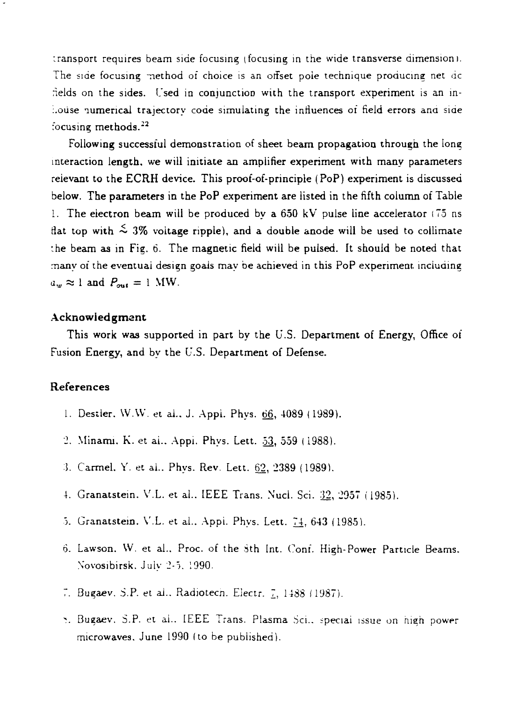:ransport requires beam side focusing *(*focusing in the wide transverse dimension I. The side focusing method of choice is an offset pole technique producing net dc nelds on the sides. Used in conjunction with the transport experiment is an ini.oiise numerical trajectory code simulating the influences of field errors ana side focusing methods. $^{22}$ 

Following successful demonstration of sheet beam propagation through the long interaction length, we will initiate an amplifier experiment with many parameters relevant to the ECRH device. This proof-of-principle (PoP) experiment is discussed below. The parameters in the PoP experiment are listed in the fifth column of Table 1. The electron beam will be produced by a 650 kV pulse line accelerator (75 ns flat top with  $\leq 3\%$  voltage ripple), and a double anode will be used to collimate the beam as in Fig.  $6$ . The magnetic field will be pulsed. It should be noted that many of the eventual design goals may be achieved in this PoP experiment, including  $a_w \approx 1$  and  $P_{out} = 1$  MW.

#### **Acknowledgment**

This work was supported in part by the U.S. Department of Energy, Office of Fusion Energy, and by the U.S. Department of Defense.

### **References**

- 1. Destler. W.W. et al., J. Appl. Phys. 66, 4089 (1989).
- 2. Minami. K. et al.. Appi. Phys. Lett. 53, 559 (1988).
- *:].* Carmel. Y. et al.. Phys. Rev. Lett. 62, 2389 (1989).
- 4. Granatstein. V.L. et al.. IEEE Trans. Nucl. Sci. 32, 2957 (1985).
- 5. Granatstein. V.L. et al., Appi. Phys. Lett. 74, 643 (1985).
- 6. Lawson. W. et al.. Proc. of the Sth Int. Conf. High-Power Particle Beams. Novosibirsk. Juiy 2-5. 1990.
- 7. Bugaev. S.P. et al.. Radiotech. Electr. 7, 1488 (1987).
- •?. Bugaev. S.P. et ai.. IEEE Trans. Plasma Sci.. =peciai issue on nigh power microwaves. June 1990 (to be published).